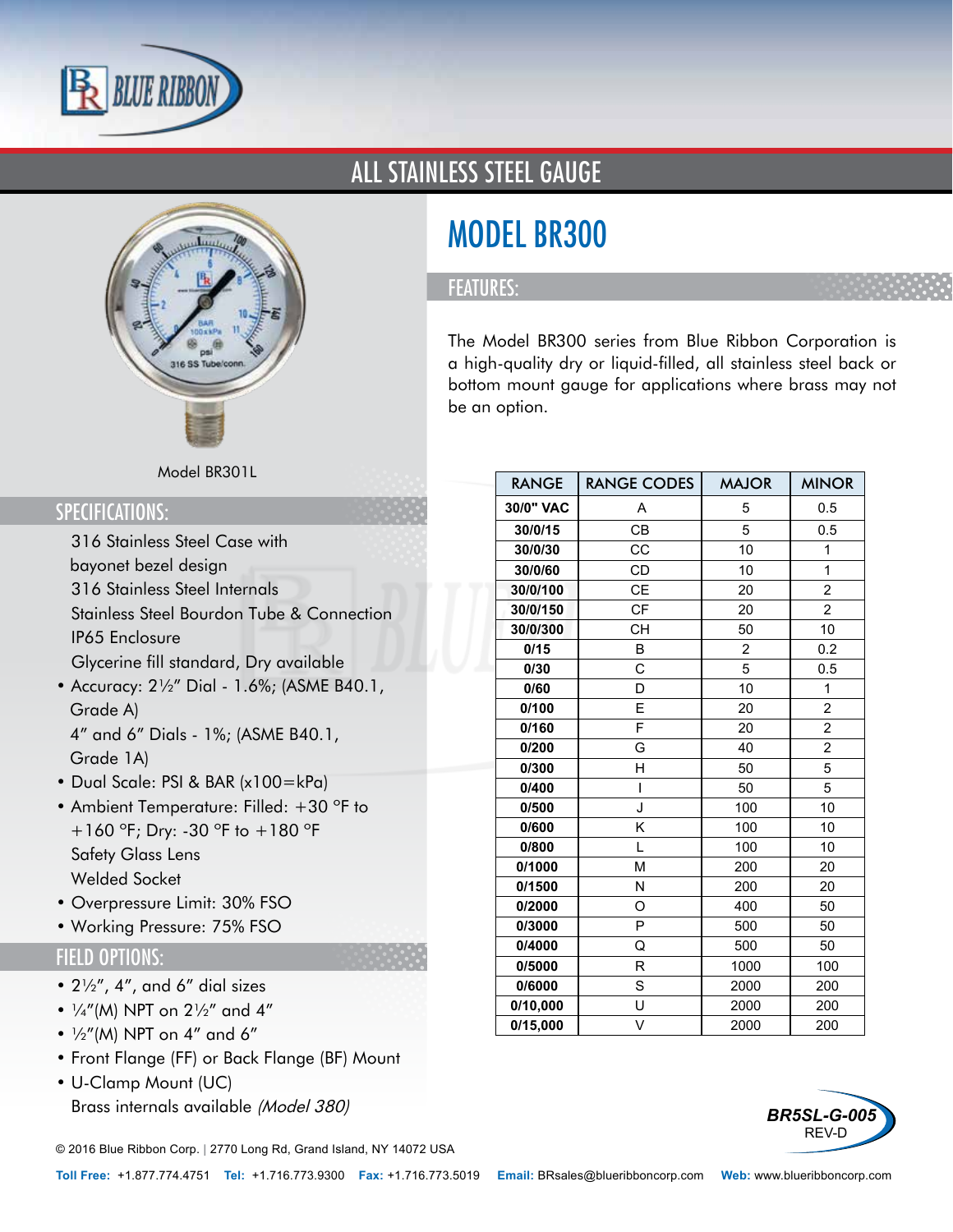



### ALL STAINLESS STEEL GAUGE

# MODEL BR300

#### FEATURES:

The Model BR300 series from Blue Ribbon Corporation is a high-quality dry or liquid-filled, all stainless steel back or bottom mount gauge for applications where brass may not be an option.

RANGE | RANGE CODES | MAJOR | MINOR

#### Model BR301L

#### SPECIFICATIONS:

- 316 Stainless Steel Case with bayonet bezel design
- 316 Stainless Steel Internals
- Stainless Steel Bourdon Tube & Connection
- IP65 Enclosure
- Glycerine fill standard, Dry available
- Accuracy: 2½" Dial 1.6%; (ASME B40.1, Grade A) 4" and 6" Dials - 1%; (ASME B40.1,

Grade 1A)

- Dual Scale: PSI & BAR (x100=kPa)
- Ambient Temperature: Filled: +30 °F to +160 ºF; Dry: -30 ºF to +180 ºF
- Safety Glass Lens
- Welded Socket
- Overpressure Limit: 30% FSO
- Working Pressure: 75% FSO

#### FIELD OPTIONS:

- 2½", 4", and 6" dial sizes
- $1/4''(M)$  NPT on  $2\frac{1}{2}''$  and  $4''$
- $\frac{1}{2}$ "(M) NPT on 4" and 6"
- Front Flange (FF) or Back Flange (BF) Mount
- U-Clamp Mount (UC)
- Brass internals available (Model 380)

© 2016 Blue Ribbon Corp. *<sup>|</sup>* 2770 Long Rd, Grand Island, NY 14072 USA

| 30/0" VAC | A         | 5    | 0.5            |  |
|-----------|-----------|------|----------------|--|
| 30/0/15   | <b>CB</b> | 5    | 0.5            |  |
| 30/0/30   | CC        | 10   | 1              |  |
| 30/0/60   | CD        | 10   | 1              |  |
| 30/0/100  | <b>CE</b> | 20   | 2              |  |
| 30/0/150  | CF        | 20   | $\overline{c}$ |  |
| 30/0/300  | <b>CH</b> | 50   | 10             |  |
| 0/15      | B         | 2    | 0.2            |  |
| 0/30      | C         | 5    | 0.5            |  |
| 0/60      | D         | 10   | 1              |  |
| 0/100     | E         | 20   | 2              |  |
| 0/160     | F         | 20   | $\overline{c}$ |  |
| 0/200     | G         | 40   | $\overline{c}$ |  |
| 0/300     | н         | 50   | 5              |  |
| 0/400     | I         | 50   | 5              |  |
| 0/500     | J         | 100  | 10             |  |
| 0/600     | Κ         | 100  | 10             |  |
| 0/800     | L         | 100  | 10             |  |
| 0/1000    | М         | 200  | 20             |  |
| 0/1500    | N         | 200  | 20             |  |
| 0/2000    | O         | 400  | 50             |  |
| 0/3000    | P         | 500  | 50             |  |
| 0/4000    | Q         | 500  | 50             |  |
| 0/5000    | R         | 1000 | 100            |  |
| 0/6000    | S         | 2000 | 200            |  |
| 0/10,000  | U         | 2000 | 200            |  |
| 0/15,000  | V         | 2000 | 200            |  |